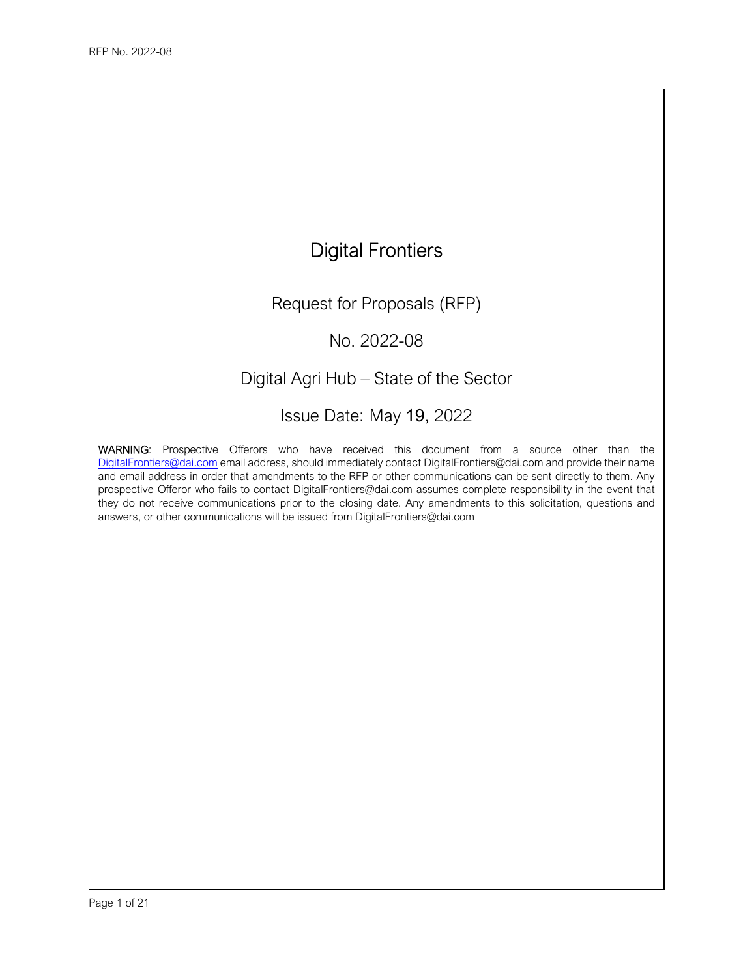

Request for Proposals (RFP)

No. 2022-08

# Digital Agri Hub – State of the Sector

Issue Date: May 19, 2022

WARNING: Prospective Offerors who have received this document from a source other than the DigitalFrontiers@dai.com email address, should immediately contact DigitalFrontiers@dai.com and provide their name and email address in order that amendments to the RFP or other communications can be sent directly to them. Any prospective Offeror who fails to contact DigitalFrontiers@dai.com assumes complete responsibility in the event that they do not receive communications prior to the closing date. Any amendments to this solicitation, questions and answers, or other communications will be issued from DigitalFrontiers@dai.com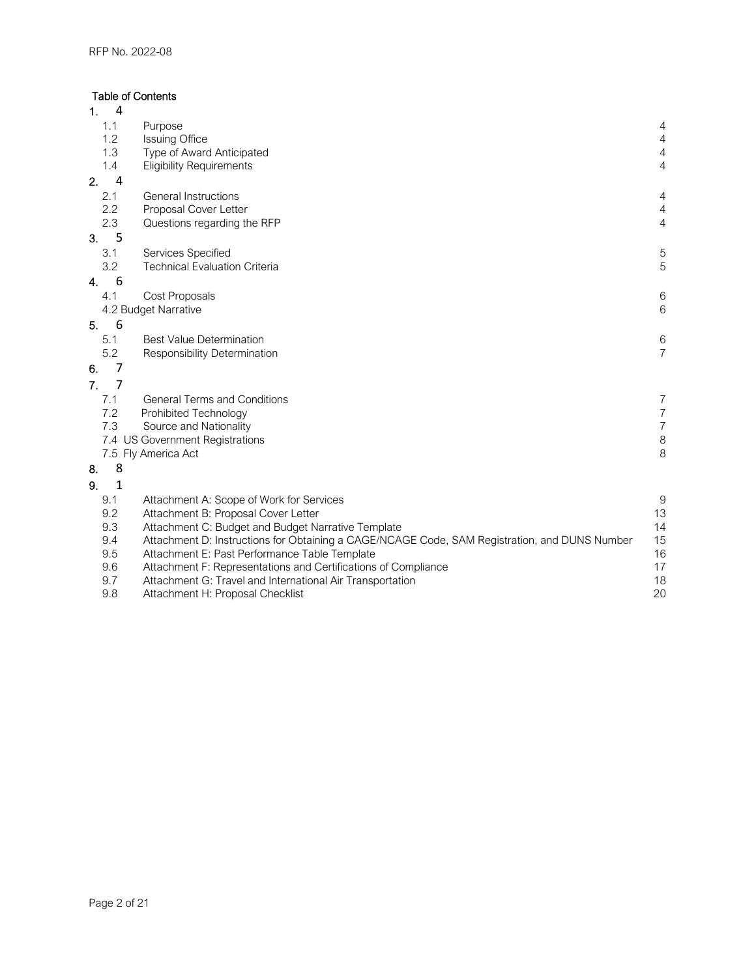# Table of Contents

| 1.<br>4              |                                                                                               |                       |
|----------------------|-----------------------------------------------------------------------------------------------|-----------------------|
| 1.1                  | Purpose                                                                                       | 4                     |
| 1.2                  | <b>Issuing Office</b>                                                                         | $\overline{4}$        |
| 1.3                  | Type of Award Anticipated                                                                     | $\overline{4}$        |
| 1.4                  | <b>Eligibility Requirements</b>                                                               | 4                     |
| 2.<br>$\overline{4}$ |                                                                                               |                       |
| 2.1                  | General Instructions                                                                          | 4                     |
| 2.2                  | Proposal Cover Letter                                                                         | $\overline{4}$        |
| 2.3                  | Questions regarding the RFP                                                                   | $\overline{4}$        |
| 5<br>3.              |                                                                                               |                       |
| 3.1                  | Services Specified                                                                            | 5                     |
| 3.2                  | <b>Technical Evaluation Criteria</b>                                                          | 5                     |
| 6<br>4.              |                                                                                               |                       |
| 4.1                  | Cost Proposals                                                                                | $\,6$                 |
|                      | 4.2 Budget Narrative                                                                          | $6\,$                 |
| 6<br>5.              |                                                                                               |                       |
| 5.1                  | <b>Best Value Determination</b>                                                               | 6                     |
| 5.2                  | Responsibility Determination                                                                  | $\overline{7}$        |
| 7<br>6.              |                                                                                               |                       |
| 7<br>7 <sub>1</sub>  |                                                                                               |                       |
| 7.1                  | <b>General Terms and Conditions</b>                                                           |                       |
| 7.2                  | Prohibited Technology                                                                         | 7<br>$\boldsymbol{7}$ |
| 7.3                  | Source and Nationality                                                                        | $\boldsymbol{7}$      |
|                      | 7.4 US Government Registrations                                                               | $\,8\,$               |
|                      | 7.5 Fly America Act                                                                           | 8                     |
| 8<br>8.              |                                                                                               |                       |
| $\mathbf{1}$<br>9.   |                                                                                               |                       |
| 9.1                  | Attachment A: Scope of Work for Services                                                      | $9\,$                 |
| 9.2                  | Attachment B: Proposal Cover Letter                                                           | 13                    |
| 9.3                  | Attachment C: Budget and Budget Narrative Template                                            | 14                    |
| 9.4                  | Attachment D: Instructions for Obtaining a CAGE/NCAGE Code, SAM Registration, and DUNS Number | 15                    |
| 9.5                  | Attachment E: Past Performance Table Template                                                 | 16                    |
| 9.6                  | Attachment F: Representations and Certifications of Compliance                                | 17                    |
| 9.7                  | Attachment G: Travel and International Air Transportation                                     | 18                    |
| 9.8                  | Attachment H: Proposal Checklist                                                              | 20                    |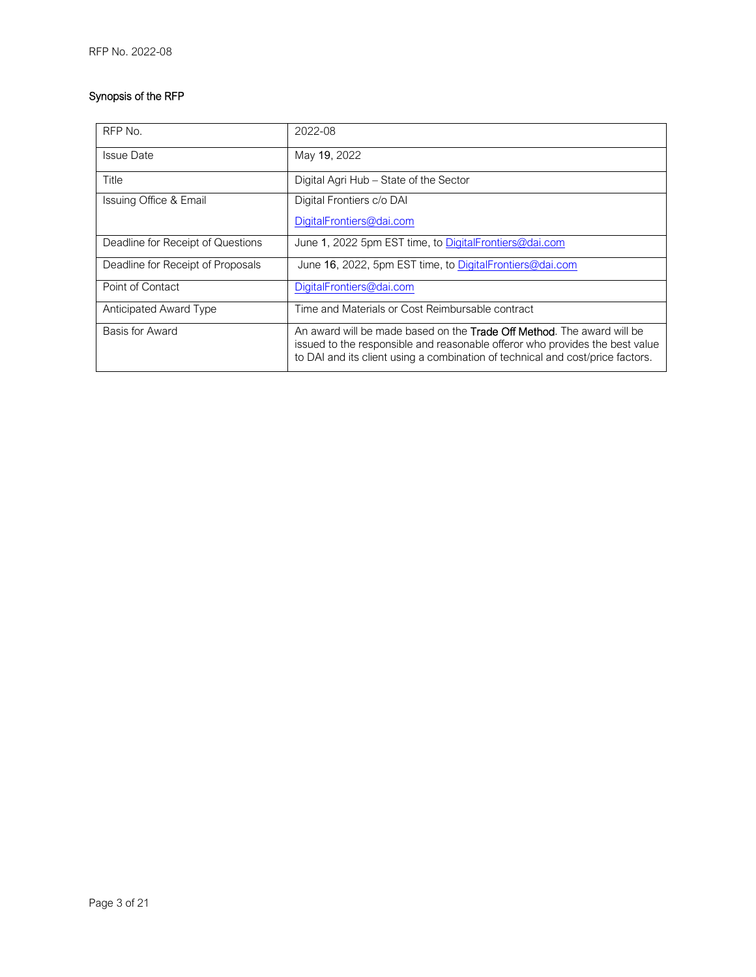# Synopsis of the RFP

| RFP No.                           | 2022-08                                                                                                                                                                                                                                          |
|-----------------------------------|--------------------------------------------------------------------------------------------------------------------------------------------------------------------------------------------------------------------------------------------------|
| <b>Issue Date</b>                 | May 19, 2022                                                                                                                                                                                                                                     |
| Title                             | Digital Agri Hub - State of the Sector                                                                                                                                                                                                           |
| Issuing Office & Email            | Digital Frontiers c/o DAI                                                                                                                                                                                                                        |
|                                   | DigitalFrontiers@dai.com                                                                                                                                                                                                                         |
| Deadline for Receipt of Questions | June 1, 2022 5pm EST time, to DigitalFrontiers@dai.com                                                                                                                                                                                           |
| Deadline for Receipt of Proposals | June 16, 2022, 5pm EST time, to DigitalFrontiers@dai.com                                                                                                                                                                                         |
| Point of Contact                  | DigitalFrontiers@dai.com                                                                                                                                                                                                                         |
| <b>Anticipated Award Type</b>     | Time and Materials or Cost Reimbursable contract                                                                                                                                                                                                 |
| Basis for Award                   | An award will be made based on the <b>Trade Off Method</b> . The award will be<br>issued to the responsible and reasonable offeror who provides the best value<br>to DAI and its client using a combination of technical and cost/price factors. |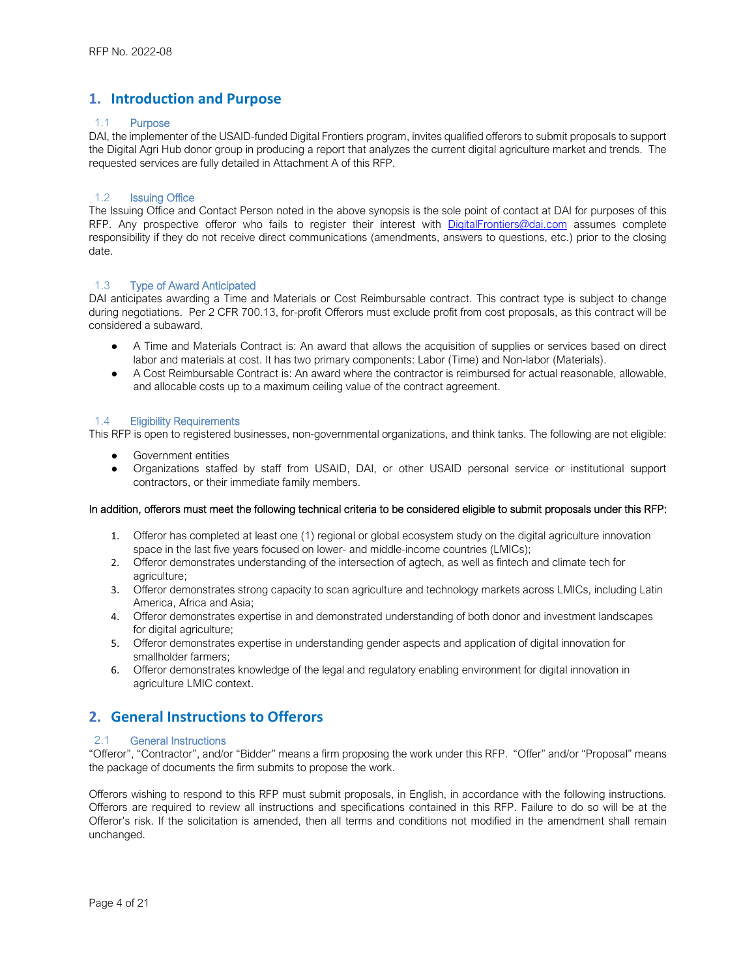# **1. Introduction and Purpose**

#### 1.1 Purpose

DAI, the implementer of the USAID-funded Digital Frontiers program, invites qualified offerors to submit proposals to support the Digital Agri Hub donor group in producing a report that analyzes the current digital agriculture market and trends. The requested services are fully detailed in Attachment A of this RFP.

#### 1.2 Issuing Office

The Issuing Office and Contact Person noted in the above synopsis is the sole point of contact at DAI for purposes of this RFP. Any prospective offeror who fails to register their interest with DigitalFrontiers@dai.com assumes complete responsibility if they do not receive direct communications (amendments, answers to questions, etc.) prior to the closing date.

#### 1.3 Type of Award Anticipated

DAI anticipates awarding a Time and Materials or Cost Reimbursable contract. This contract type is subject to change during negotiations. Per 2 CFR 700.13, for-profit Offerors must exclude profit from cost proposals, as this contract will be considered a subaward.

- A Time and Materials Contract is: An award that allows the acquisition of supplies or services based on direct labor and materials at cost. It has two primary components: Labor (Time) and Non-labor (Materials).
- A Cost Reimbursable Contract is: An award where the contractor is reimbursed for actual reasonable, allowable, and allocable costs up to a maximum ceiling value of the contract agreement.

#### 1.4 Eligibility Requirements

This RFP is open to registered businesses, non-governmental organizations, and think tanks. The following are not eligible:

- Government entities
- Organizations staffed by staff from USAID, DAI, or other USAID personal service or institutional support contractors, or their immediate family members.

#### In addition, offerors must meet the following technical criteria to be considered eligible to submit proposals under this RFP:

- 1. Offeror has completed at least one (1) regional or global ecosystem study on the digital agriculture innovation space in the last five years focused on lower- and middle-income countries (LMICs);
- 2. Offeror demonstrates understanding of the intersection of agtech, as well as fintech and climate tech for agriculture;
- 3. Offeror demonstrates strong capacity to scan agriculture and technology markets across LMICs, including Latin America, Africa and Asia;
- 4. Offeror demonstrates expertise in and demonstrated understanding of both donor and investment landscapes for digital agriculture;
- 5. Offeror demonstrates expertise in understanding gender aspects and application of digital innovation for smallholder farmers;
- 6. Offeror demonstrates knowledge of the legal and regulatory enabling environment for digital innovation in agriculture LMIC context.

# **2. General Instructions to Offerors**

#### 2.1 General Instructions

"Offeror", "Contractor", and/or "Bidder" means a firm proposing the work under this RFP. "Offer" and/or "Proposal" means the package of documents the firm submits to propose the work.

Offerors wishing to respond to this RFP must submit proposals, in English, in accordance with the following instructions. Offerors are required to review all instructions and specifications contained in this RFP. Failure to do so will be at the Offeror's risk. If the solicitation is amended, then all terms and conditions not modified in the amendment shall remain unchanged.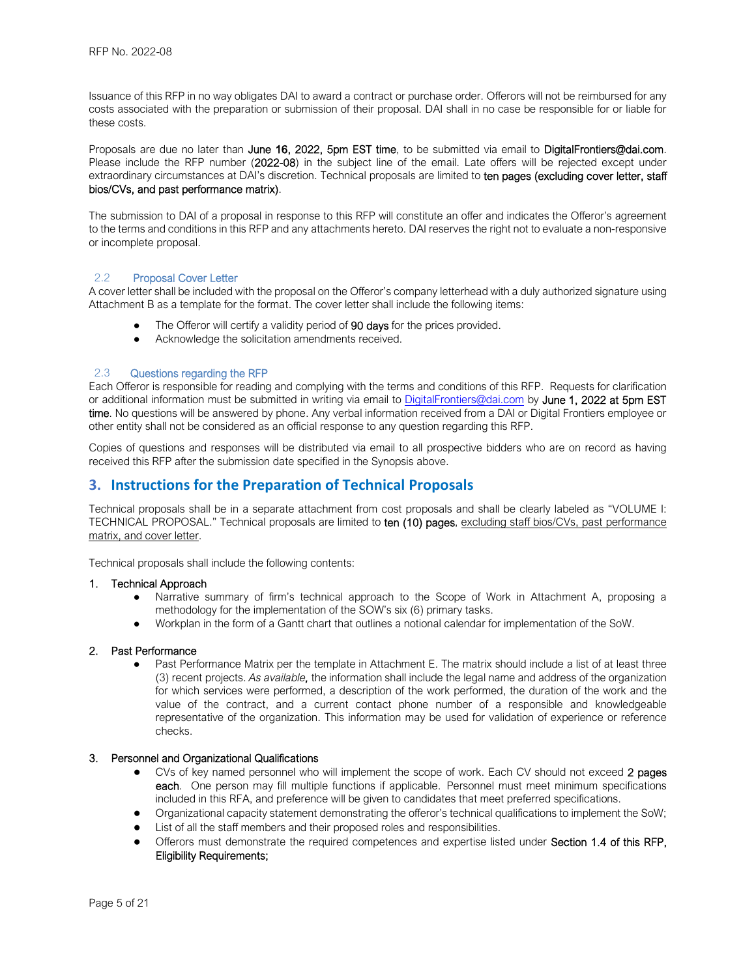Issuance of this RFP in no way obligates DAI to award a contract or purchase order. Offerors will not be reimbursed for any costs associated with the preparation or submission of their proposal. DAI shall in no case be responsible for or liable for these costs.

Proposals are due no later than June 16, 2022, 5pm EST time, to be submitted via email to DigitalFrontiers@dai.com. Please include the RFP number (2022-08) in the subject line of the email. Late offers will be rejected except under extraordinary circumstances at DAI's discretion. Technical proposals are limited to ten pages (excluding cover letter, staff bios/CVs, and past performance matrix).

The submission to DAI of a proposal in response to this RFP will constitute an offer and indicates the Offeror's agreement to the terms and conditions in this RFP and any attachments hereto. DAI reserves the right not to evaluate a non-responsive or incomplete proposal.

#### 2.2 Proposal Cover Letter

A cover letter shall be included with the proposal on the Offeror's company letterhead with a duly authorized signature using Attachment B as a template for the format. The cover letter shall include the following items:

- The Offeror will certify a validity period of 90 days for the prices provided.
- Acknowledge the solicitation amendments received.

#### 2.3 Questions regarding the RFP

Each Offeror is responsible for reading and complying with the terms and conditions of this RFP. Requests for clarification or additional information must be submitted in writing via email to DigitalFrontiers@dai.com by June 1, 2022 at 5pm EST time. No questions will be answered by phone. Any verbal information received from a DAI or Digital Frontiers employee or other entity shall not be considered as an official response to any question regarding this RFP.

Copies of questions and responses will be distributed via email to all prospective bidders who are on record as having received this RFP after the submission date specified in the Synopsis above.

# **3. Instructions for the Preparation of Technical Proposals**

Technical proposals shall be in a separate attachment from cost proposals and shall be clearly labeled as "VOLUME I: TECHNICAL PROPOSAL." Technical proposals are limited to ten (10) pages, excluding staff bios/CVs, past performance matrix, and cover letter.

Technical proposals shall include the following contents:

#### 1. Technical Approach

- Narrative summary of firm's technical approach to the Scope of Work in Attachment A, proposing a methodology for the implementation of the SOW's six (6) primary tasks.
- Workplan in the form of a Gantt chart that outlines a notional calendar for implementation of the SoW.

#### 2. Past Performance

Past Performance Matrix per the template in Attachment E. The matrix should include a list of at least three (3) recent projects. *As available,* the information shall include the legal name and address of the organization for which services were performed, a description of the work performed, the duration of the work and the value of the contract, and a current contact phone number of a responsible and knowledgeable representative of the organization. This information may be used for validation of experience or reference checks.

#### 3. Personnel and Organizational Qualifications

- CVs of key named personnel who will implement the scope of work. Each CV should not exceed 2 pages each. One person may fill multiple functions if applicable. Personnel must meet minimum specifications included in this RFA, and preference will be given to candidates that meet preferred specifications.
- Organizational capacity statement demonstrating the offeror's technical qualifications to implement the SoW;
- List of all the staff members and their proposed roles and responsibilities.
- Offerors must demonstrate the required competences and expertise listed under Section 1.4 of this RFP, Eligibility Requirements;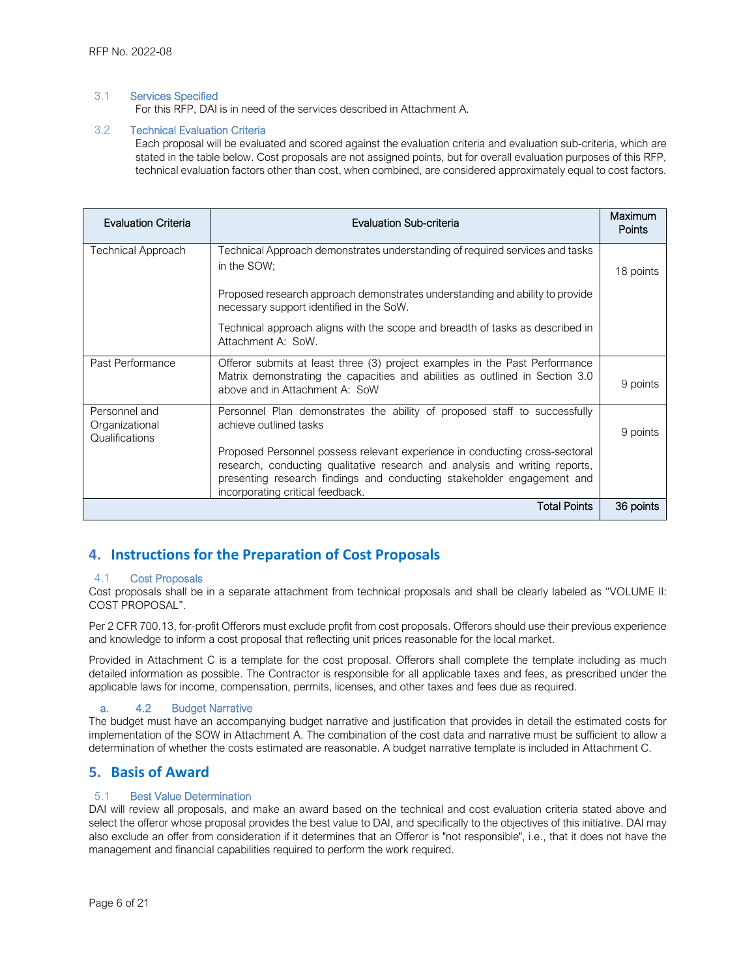#### 3.1 Services Specified

For this RFP, DAI is in need of the services described in Attachment A.

#### 3.2 Technical Evaluation Criteria

Each proposal will be evaluated and scored against the evaluation criteria and evaluation sub-criteria, which are stated in the table below. Cost proposals are not assigned points, but for overall evaluation purposes of this RFP, technical evaluation factors other than cost, when combined, are considered approximately equal to cost factors.

| <b>Evaluation Criteria</b>                        | <b>Evaluation Sub-criteria</b>                                                                                                                                                                                                                                           | Maximum<br>Points |  |  |  |  |
|---------------------------------------------------|--------------------------------------------------------------------------------------------------------------------------------------------------------------------------------------------------------------------------------------------------------------------------|-------------------|--|--|--|--|
| Technical Approach                                | Technical Approach demonstrates understanding of required services and tasks<br>in the SOW;                                                                                                                                                                              | 18 points         |  |  |  |  |
|                                                   | Proposed research approach demonstrates understanding and ability to provide<br>necessary support identified in the SoW.                                                                                                                                                 |                   |  |  |  |  |
|                                                   | Technical approach aligns with the scope and breadth of tasks as described in<br>Attachment A: SoW.                                                                                                                                                                      |                   |  |  |  |  |
| Past Performance                                  | Offeror submits at least three (3) project examples in the Past Performance<br>Matrix demonstrating the capacities and abilities as outlined in Section 3.0<br>above and in Attachment A: SoW                                                                            | 9 points          |  |  |  |  |
| Personnel and<br>Organizational<br>Qualifications | Personnel Plan demonstrates the ability of proposed staff to successfully<br>achieve outlined tasks                                                                                                                                                                      | 9 points          |  |  |  |  |
|                                                   | Proposed Personnel possess relevant experience in conducting cross-sectoral<br>research, conducting qualitative research and analysis and writing reports,<br>presenting research findings and conducting stakeholder engagement and<br>incorporating critical feedback. |                   |  |  |  |  |
|                                                   | <b>Total Points</b>                                                                                                                                                                                                                                                      | 36 points         |  |  |  |  |

# **4. Instructions for the Preparation of Cost Proposals**

#### 4.1 Cost Proposals

Cost proposals shall be in a separate attachment from technical proposals and shall be clearly labeled as "VOLUME II: COST PROPOSAL".

Per 2 CFR 700.13, for-profit Offerors must exclude profit from cost proposals. Offerors should use their previous experience and knowledge to inform a cost proposal that reflecting unit prices reasonable for the local market.

Provided in Attachment C is a template for the cost proposal. Offerors shall complete the template including as much detailed information as possible. The Contractor is responsible for all applicable taxes and fees, as prescribed under the applicable laws for income, compensation, permits, licenses, and other taxes and fees due as required.

### a. 4.2 Budget Narrative

The budget must have an accompanying budget narrative and justification that provides in detail the estimated costs for implementation of the SOW in Attachment A. The combination of the cost data and narrative must be sufficient to allow a determination of whether the costs estimated are reasonable. A budget narrative template is included in Attachment C.

# **5. Basis of Award**

### 5.1 Best Value Determination

DAI will review all proposals, and make an award based on the technical and cost evaluation criteria stated above and select the offeror whose proposal provides the best value to DAI, and specifically to the objectives of this initiative. DAI may also exclude an offer from consideration if it determines that an Offeror is "not responsible", i.e., that it does not have the management and financial capabilities required to perform the work required.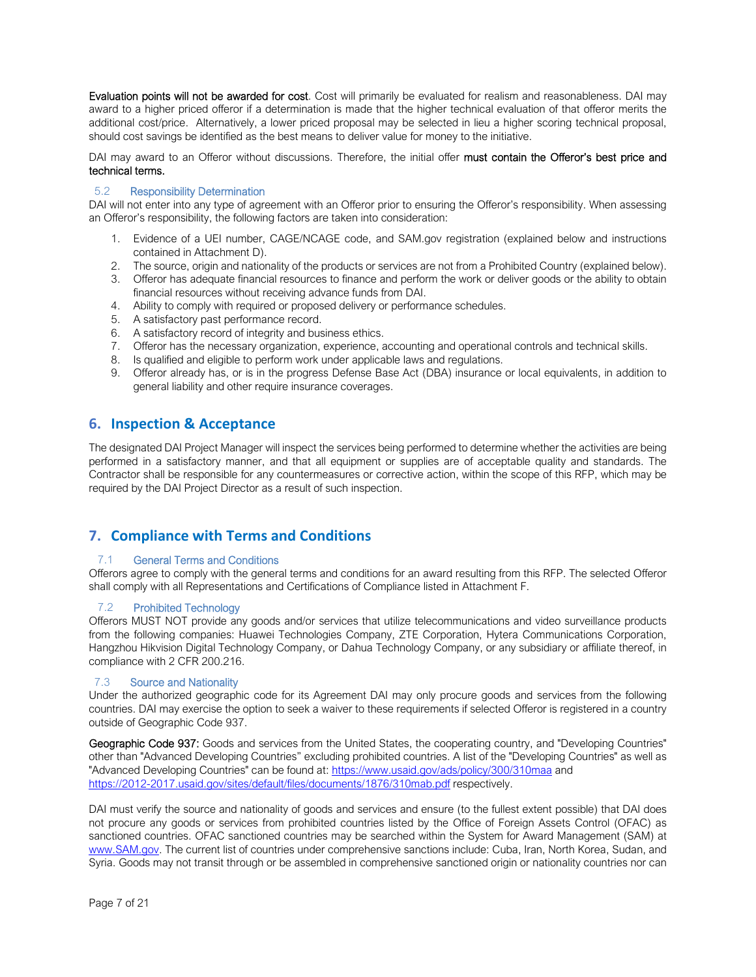Evaluation points will not be awarded for cost. Cost will primarily be evaluated for realism and reasonableness. DAI may award to a higher priced offeror if a determination is made that the higher technical evaluation of that offeror merits the additional cost/price. Alternatively, a lower priced proposal may be selected in lieu a higher scoring technical proposal, should cost savings be identified as the best means to deliver value for money to the initiative.

DAI mav award to an Offeror without discussions. Therefore, the initial offer must contain the Offeror's best price and technical terms.

#### 5.2 Responsibility Determination

DAI will not enter into any type of agreement with an Offeror prior to ensuring the Offeror's responsibility. When assessing an Offeror's responsibility, the following factors are taken into consideration:

- 1. Evidence of a UEI number, CAGE/NCAGE code, and SAM.gov registration (explained below and instructions contained in Attachment D).
- 2. The source, origin and nationality of the products or services are not from a Prohibited Country (explained below).
- 3. Offeror has adequate financial resources to finance and perform the work or deliver goods or the ability to obtain financial resources without receiving advance funds from DAI.
- 4. Ability to comply with required or proposed delivery or performance schedules.
- 5. A satisfactory past performance record.
- 6. A satisfactory record of integrity and business ethics.
- 7. Offeror has the necessary organization, experience, accounting and operational controls and technical skills.
- 8. Is qualified and eligible to perform work under applicable laws and regulations.
- 9. Offeror already has, or is in the progress Defense Base Act (DBA) insurance or local equivalents, in addition to general liability and other require insurance coverages.

# **6. Inspection & Acceptance**

The designated DAI Project Manager will inspect the services being performed to determine whether the activities are being performed in a satisfactory manner, and that all equipment or supplies are of acceptable quality and standards. The Contractor shall be responsible for any countermeasures or corrective action, within the scope of this RFP, which may be required by the DAI Project Director as a result of such inspection.

# **7. Compliance with Terms and Conditions**

#### 7.1 General Terms and Conditions

Offerors agree to comply with the general terms and conditions for an award resulting from this RFP. The selected Offeror shall comply with all Representations and Certifications of Compliance listed in Attachment F.

#### 7.2 Prohibited Technology

Offerors MUST NOT provide any goods and/or services that utilize telecommunications and video surveillance products from the following companies: Huawei Technologies Company, ZTE Corporation, Hytera Communications Corporation, Hangzhou Hikvision Digital Technology Company, or Dahua Technology Company, or any subsidiary or affiliate thereof, in compliance with 2 CFR 200.216.

#### 7.3 Source and Nationality

Under the authorized geographic code for its Agreement DAI may only procure goods and services from the following countries. DAI may exercise the option to seek a waiver to these requirements if selected Offeror is registered in a country outside of Geographic Code 937.

Geographic Code 937: Goods and services from the United States, the cooperating country, and "Developing Countries" other than "Advanced Developing Countries" excluding prohibited countries. A list of the "Developing Countries" as well as "Advanced Developing Countries" can be found at: https://www.usaid.gov/ads/policy/300/310maa and https://2012-2017.usaid.gov/sites/default/files/documents/1876/310mab.pdf respectively.

DAI must verify the source and nationality of goods and services and ensure (to the fullest extent possible) that DAI does not procure any goods or services from prohibited countries listed by the Office of Foreign Assets Control (OFAC) as sanctioned countries. OFAC sanctioned countries may be searched within the System for Award Management (SAM) at www.SAM.gov. The current list of countries under comprehensive sanctions include: Cuba, Iran, North Korea, Sudan, and Syria. Goods may not transit through or be assembled in comprehensive sanctioned origin or nationality countries nor can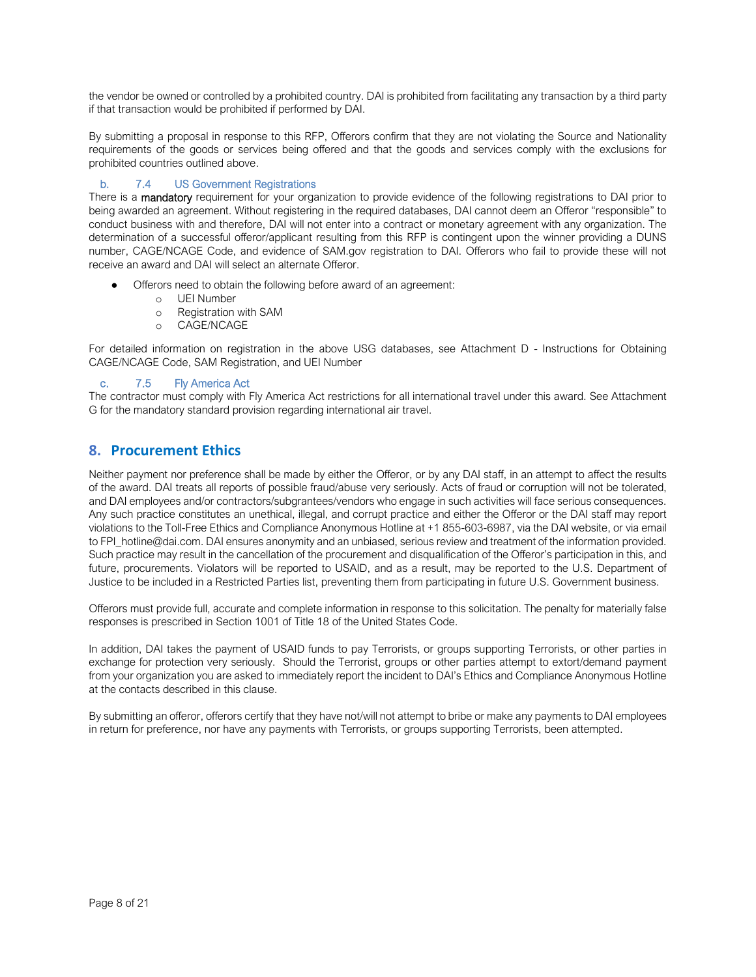the vendor be owned or controlled by a prohibited country. DAI is prohibited from facilitating any transaction by a third party if that transaction would be prohibited if performed by DAI.

By submitting a proposal in response to this RFP, Offerors confirm that they are not violating the Source and Nationality requirements of the goods or services being offered and that the goods and services comply with the exclusions for prohibited countries outlined above.

### b. 7.4 US Government Registrations

There is a mandatory requirement for your organization to provide evidence of the following registrations to DAI prior to being awarded an agreement. Without registering in the required databases, DAI cannot deem an Offeror "responsible" to conduct business with and therefore, DAI will not enter into a contract or monetary agreement with any organization. The determination of a successful offeror/applicant resulting from this RFP is contingent upon the winner providing a DUNS number, CAGE/NCAGE Code, and evidence of SAM.gov registration to DAI. Offerors who fail to provide these will not receive an award and DAI will select an alternate Offeror.

- Offerors need to obtain the following before award of an agreement:
	- o UEI Number
	- o Registration with SAM
	- o CAGE/NCAGE

For detailed information on registration in the above USG databases, see Attachment D - Instructions for Obtaining CAGE/NCAGE Code, SAM Registration, and UEI Number

#### c. 7.5 Fly America Act

The contractor must comply with Fly America Act restrictions for all international travel under this award. See Attachment G for the mandatory standard provision regarding international air travel.

# **8. Procurement Ethics**

Neither payment nor preference shall be made by either the Offeror, or by any DAI staff, in an attempt to affect the results of the award. DAI treats all reports of possible fraud/abuse very seriously. Acts of fraud or corruption will not be tolerated, and DAI employees and/or contractors/subgrantees/vendors who engage in such activities will face serious consequences. Any such practice constitutes an unethical, illegal, and corrupt practice and either the Offeror or the DAI staff may report violations to the Toll-Free Ethics and Compliance Anonymous Hotline at +1 855-603-6987, via the DAI website, or via email to FPI\_hotline@dai.com. DAI ensures anonymity and an unbiased, serious review and treatment of the information provided. Such practice may result in the cancellation of the procurement and disqualification of the Offeror's participation in this, and future, procurements. Violators will be reported to USAID, and as a result, may be reported to the U.S. Department of Justice to be included in a Restricted Parties list, preventing them from participating in future U.S. Government business.

Offerors must provide full, accurate and complete information in response to this solicitation. The penalty for materially false responses is prescribed in Section 1001 of Title 18 of the United States Code.

In addition, DAI takes the payment of USAID funds to pay Terrorists, or groups supporting Terrorists, or other parties in exchange for protection very seriously. Should the Terrorist, groups or other parties attempt to extort/demand payment from your organization you are asked to immediately report the incident to DAI's Ethics and Compliance Anonymous Hotline at the contacts described in this clause.

By submitting an offeror, offerors certify that they have not/will not attempt to bribe or make any payments to DAI employees in return for preference, nor have any payments with Terrorists, or groups supporting Terrorists, been attempted.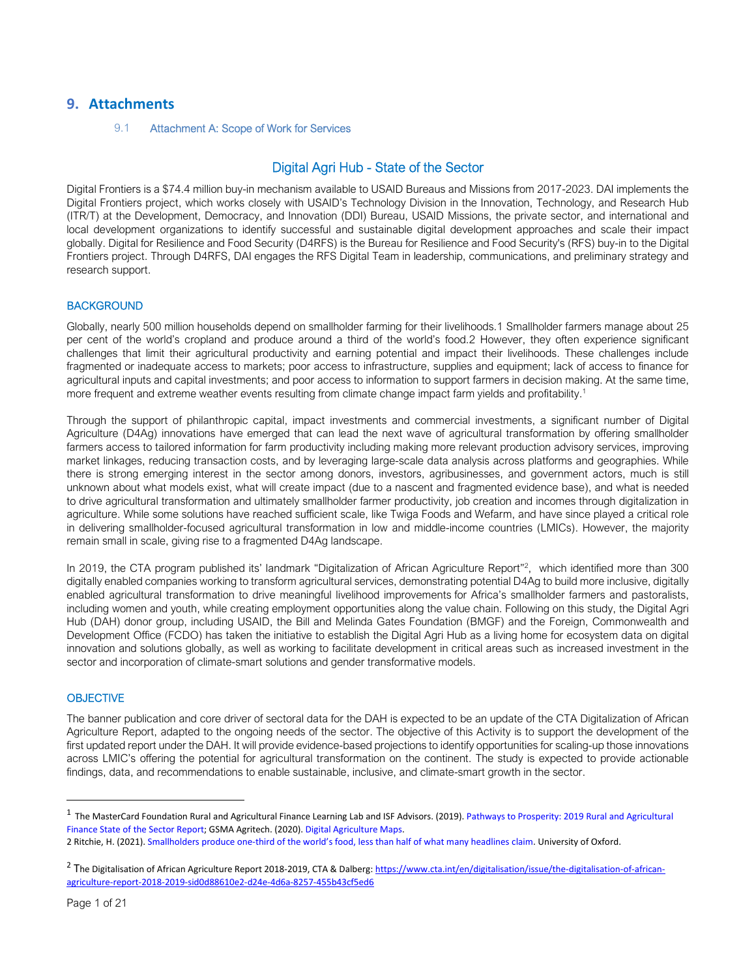# **9. Attachments**

#### 9.1 Attachment A: Scope of Work for Services

# Digital Agri Hub - State of the Sector

Digital Frontiers is a \$74.4 million buy-in mechanism available to USAID Bureaus and Missions from 2017-2023. DAI implements the Digital Frontiers project, which works closely with USAID's Technology Division in the Innovation, Technology, and Research Hub (ITR/T) at the Development, Democracy, and Innovation (DDI) Bureau, USAID Missions, the private sector, and international and local development organizations to identify successful and sustainable digital development approaches and scale their impact globally. Digital for Resilience and Food Security (D4RFS) is the Bureau for Resilience and Food Security's (RFS) buy-in to the Digital Frontiers project. Through D4RFS, DAI engages the RFS Digital Team in leadership, communications, and preliminary strategy and research support.

#### **BACKGROUND**

Globally, nearly 500 million households depend on smallholder farming for their livelihoods.1 Smallholder farmers manage about 25 per cent of the world's cropland and produce around a third of the world's food.2 However, they often experience significant challenges that limit their agricultural productivity and earning potential and impact their livelihoods. These challenges include fragmented or inadequate access to markets; poor access to infrastructure, supplies and equipment; lack of access to finance for agricultural inputs and capital investments; and poor access to information to support farmers in decision making. At the same time, more frequent and extreme weather events resulting from climate change impact farm yields and profitability.<sup>1</sup>

Through the support of philanthropic capital, impact investments and commercial investments, a significant number of Digital Agriculture (D4Ag) innovations have emerged that can lead the next wave of agricultural transformation by offering smallholder farmers access to tailored information for farm productivity including making more relevant production advisory services, improving market linkages, reducing transaction costs, and by leveraging large-scale data analysis across platforms and geographies. While there is strong emerging interest in the sector among donors, investors, agribusinesses, and government actors, much is still unknown about what models exist, what will create impact (due to a nascent and fragmented evidence base), and what is needed to drive agricultural transformation and ultimately smallholder farmer productivity, job creation and incomes through digitalization in agriculture. While some solutions have reached sufficient scale, like Twiga Foods and Wefarm, and have since played a critical role in delivering smallholder-focused agricultural transformation in low and middle-income countries (LMICs). However, the majority remain small in scale, giving rise to a fragmented D4Ag landscape.

In 2019, the CTA program published its' landmark "Digitalization of African Agriculture Report"<sup>2</sup> , which identified more than 300 digitally enabled companies working to transform agricultural services, demonstrating potential D4Ag to build more inclusive, digitally enabled agricultural transformation to drive meaningful livelihood improvements for Africa's smallholder farmers and pastoralists, including women and youth, while creating employment opportunities along the value chain. Following on this study, the Digital Agri Hub (DAH) donor group, including USAID, the Bill and Melinda Gates Foundation (BMGF) and the Foreign, Commonwealth and Development Office (FCDO) has taken the initiative to establish the Digital Agri Hub as a living home for ecosystem data on digital innovation and solutions globally, as well as working to facilitate development in critical areas such as increased investment in the sector and incorporation of climate-smart solutions and gender transformative models.

#### **OBJECTIVE**

The banner publication and core driver of sectoral data for the DAH is expected to be an update of the CTA Digitalization of African Agriculture Report, adapted to the ongoing needs of the sector. The objective of this Activity is to support the development of the first updated report under the DAH. It will provide evidence-based projections to identify opportunities for scaling-up those innovations across LMIC's offering the potential for agricultural transformation on the continent. The study is expected to provide actionable findings, data, and recommendations to enable sustainable, inclusive, and climate-smart growth in the sector.

<sup>&</sup>lt;sup>1</sup> The MasterCard Foundation Rural and Agricultural Finance Learning Lab and ISF Advisors. (2019). Pathways to Prosperity: 2019 Rural and Agricultural Finance State of the Sector Report; GSMA Agritech. (2020). Digital Agriculture Maps.

<sup>2</sup> Ritchie, H. (2021). Smallholders produce one-third of the world's food, less than half of what many headlines claim. University of Oxford.

<sup>&</sup>lt;sup>2</sup> The Digitalisation of African Agriculture Report 2018-2019, CTA & Dalberg: https://www.cta.int/en/digitalisation/issue/the-digitalisation-of-africanagriculture-report-2018-2019-sid0d88610e2-d24e-4d6a-8257-455b43cf5ed6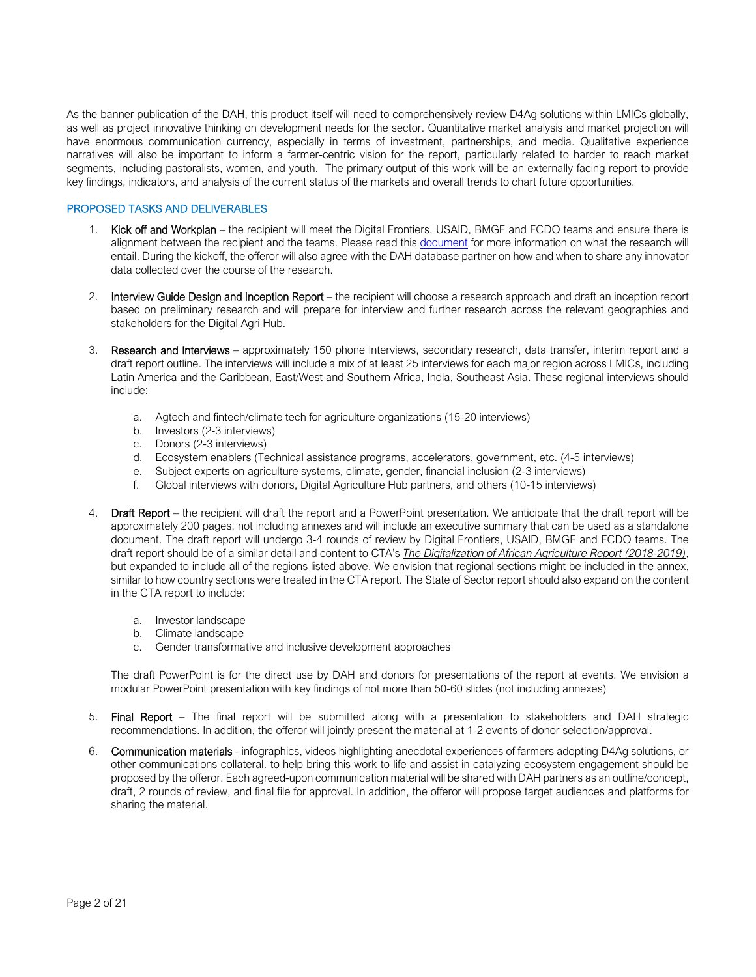As the banner publication of the DAH, this product itself will need to comprehensively review D4Ag solutions within LMICs globally, as well as project innovative thinking on development needs for the sector. Quantitative market analysis and market projection will have enormous communication currency, especially in terms of investment, partnerships, and media. Qualitative experience narratives will also be important to inform a farmer-centric vision for the report, particularly related to harder to reach market segments, including pastoralists, women, and youth. The primary output of this work will be an externally facing report to provide key findings, indicators, and analysis of the current status of the markets and overall trends to chart future opportunities.

#### PROPOSED TASKS AND DELIVERABLES

- 1. Kick off and Workplan the recipient will meet the Digital Frontiers, USAID, BMGF and FCDO teams and ensure there is alignment between the recipient and the teams. Please read this document for more information on what the research will entail. During the kickoff, the offeror will also agree with the DAH database partner on how and when to share any innovator data collected over the course of the research.
- 2. Interview Guide Design and Inception Report the recipient will choose a research approach and draft an inception report based on preliminary research and will prepare for interview and further research across the relevant geographies and stakeholders for the Digital Agri Hub.
- 3. Research and Interviews approximately 150 phone interviews, secondary research, data transfer, interim report and a draft report outline. The interviews will include a mix of at least 25 interviews for each major region across LMICs, including Latin America and the Caribbean, East/West and Southern Africa, India, Southeast Asia. These regional interviews should include:
	- a. Agtech and fintech/climate tech for agriculture organizations (15-20 interviews)
	- b. Investors (2-3 interviews)
	- c. Donors (2-3 interviews)
	- d. Ecosystem enablers (Technical assistance programs, accelerators, government, etc. (4-5 interviews)
	- e. Subject experts on agriculture systems, climate, gender, financial inclusion (2-3 interviews)
	- f. Global interviews with donors, Digital Agriculture Hub partners, and others (10-15 interviews)
- 4. Draft Report the recipient will draft the report and a PowerPoint presentation. We anticipate that the draft report will be approximately 200 pages, not including annexes and will include an executive summary that can be used as a standalone document. The draft report will undergo 3-4 rounds of review by Digital Frontiers, USAID, BMGF and FCDO teams. The draft report should be of a similar detail and content to CTA's *The Digitalization of African Agriculture Report (2018-2019)*, but expanded to include all of the regions listed above. We envision that regional sections might be included in the annex, similar to how country sections were treated in the CTA report. The State of Sector report should also expand on the content in the CTA report to include:
	- a. Investor landscape
	- b. Climate landscape
	- c. Gender transformative and inclusive development approaches

The draft PowerPoint is for the direct use by DAH and donors for presentations of the report at events. We envision a modular PowerPoint presentation with key findings of not more than 50-60 slides (not including annexes)

- 5. Final Report The final report will be submitted along with a presentation to stakeholders and DAH strategic recommendations. In addition, the offeror will jointly present the material at 1-2 events of donor selection/approval.
- 6. Communication materials infographics, videos highlighting anecdotal experiences of farmers adopting D4Ag solutions, or other communications collateral. to help bring this work to life and assist in catalyzing ecosystem engagement should be proposed by the offeror. Each agreed-upon communication material will be shared with DAH partners as an outline/concept, draft, 2 rounds of review, and final file for approval. In addition, the offeror will propose target audiences and platforms for sharing the material.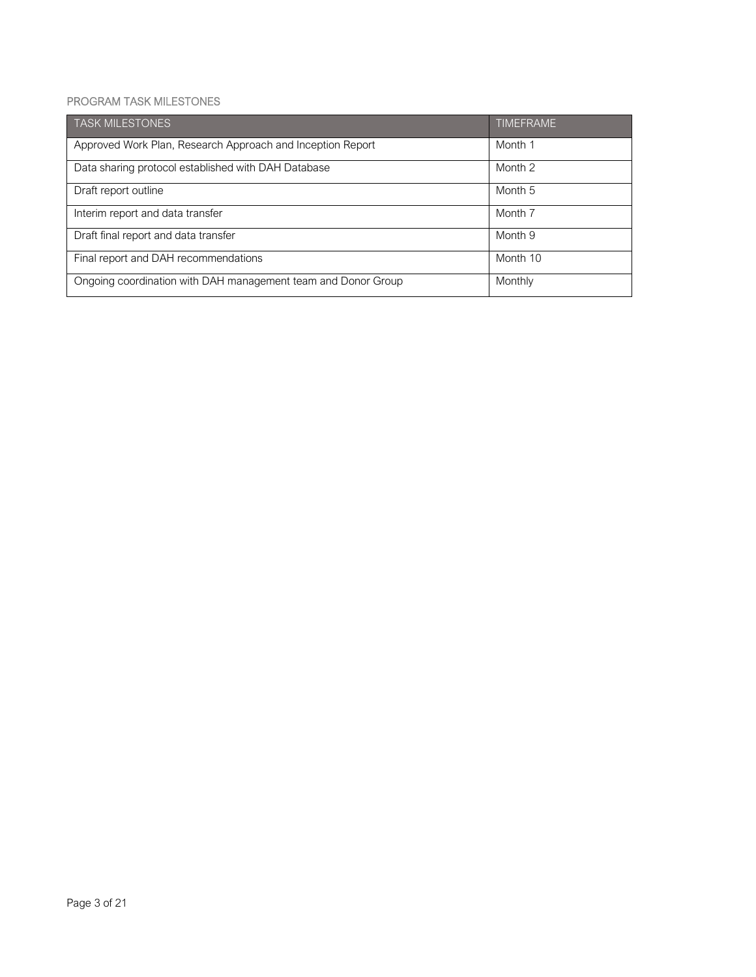### PROGRAM TASK MILESTONES

| <b>TASK MILESTONES</b>                                        | <b>TIMEFRAME</b>   |
|---------------------------------------------------------------|--------------------|
| Approved Work Plan, Research Approach and Inception Report    | Month 1            |
| Data sharing protocol established with DAH Database           | Month 2            |
| Draft report outline                                          | Month 5            |
| Interim report and data transfer                              | Month <sub>7</sub> |
| Draft final report and data transfer                          | Month 9            |
| Final report and DAH recommendations                          | Month 10           |
| Ongoing coordination with DAH management team and Donor Group | Monthly            |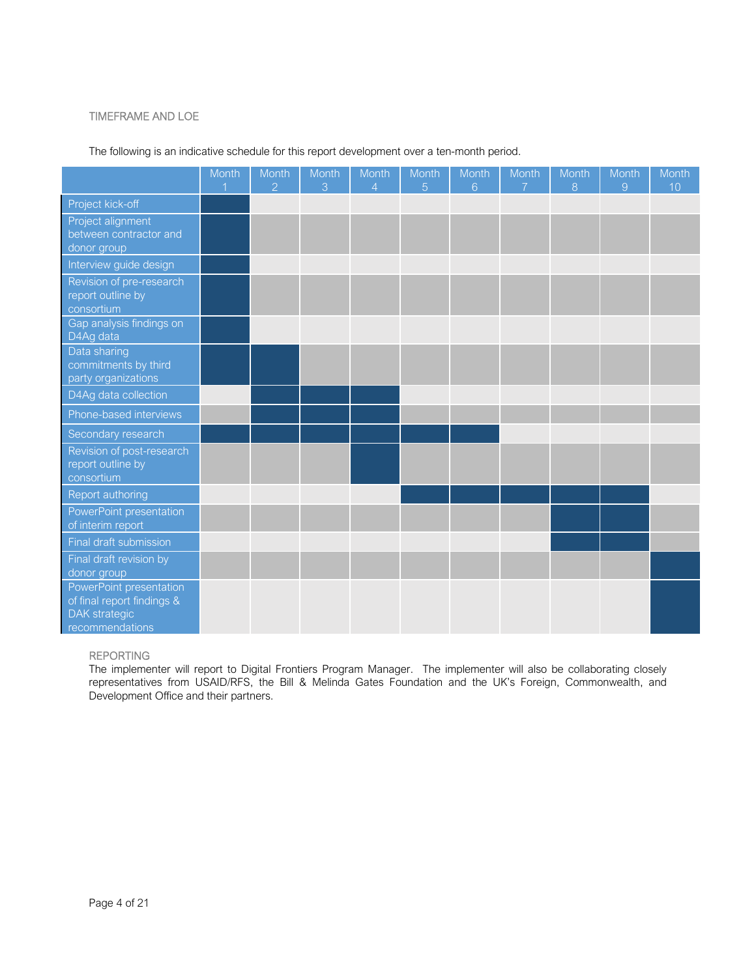### TIMEFRAME AND LOE

|                                                                                                  | Month | Month<br>$\overline{2}$ | Month<br>3 | Month<br>$\overline{4}$ | Month<br>5 | Month<br>6 | Month<br>$\overline{7}$ | Month<br>8 | Month<br>9 | Month<br>10 |
|--------------------------------------------------------------------------------------------------|-------|-------------------------|------------|-------------------------|------------|------------|-------------------------|------------|------------|-------------|
| Project kick-off                                                                                 |       |                         |            |                         |            |            |                         |            |            |             |
| Project alignment<br>between contractor and<br>donor group                                       |       |                         |            |                         |            |            |                         |            |            |             |
| Interview guide design                                                                           |       |                         |            |                         |            |            |                         |            |            |             |
| Revision of pre-research<br>report outline by<br>consortium                                      |       |                         |            |                         |            |            |                         |            |            |             |
| Gap analysis findings on<br>D4Ag data                                                            |       |                         |            |                         |            |            |                         |            |            |             |
| Data sharing<br>commitments by third<br>party organizations                                      |       |                         |            |                         |            |            |                         |            |            |             |
| D4Ag data collection                                                                             |       |                         |            |                         |            |            |                         |            |            |             |
| Phone-based interviews                                                                           |       |                         |            |                         |            |            |                         |            |            |             |
| Secondary research                                                                               |       |                         |            |                         |            |            |                         |            |            |             |
| Revision of post-research<br>report outline by<br>consortium                                     |       |                         |            |                         |            |            |                         |            |            |             |
| Report authoring                                                                                 |       |                         |            |                         |            |            |                         |            |            |             |
| PowerPoint presentation<br>of interim report                                                     |       |                         |            |                         |            |            |                         |            |            |             |
| Final draft submission                                                                           |       |                         |            |                         |            |            |                         |            |            |             |
| Final draft revision by<br>donor group                                                           |       |                         |            |                         |            |            |                         |            |            |             |
| PowerPoint presentation<br>of final report findings &<br><b>DAK</b> strategic<br>recommendations |       |                         |            |                         |            |            |                         |            |            |             |

### The following is an indicative schedule for this report development over a ten-month period.

#### REPORTING

The implementer will report to Digital Frontiers Program Manager. The implementer will also be collaborating closely representatives from USAID/RFS, the Bill & Melinda Gates Foundation and the UK's Foreign, Commonwealth, and Development Office and their partners.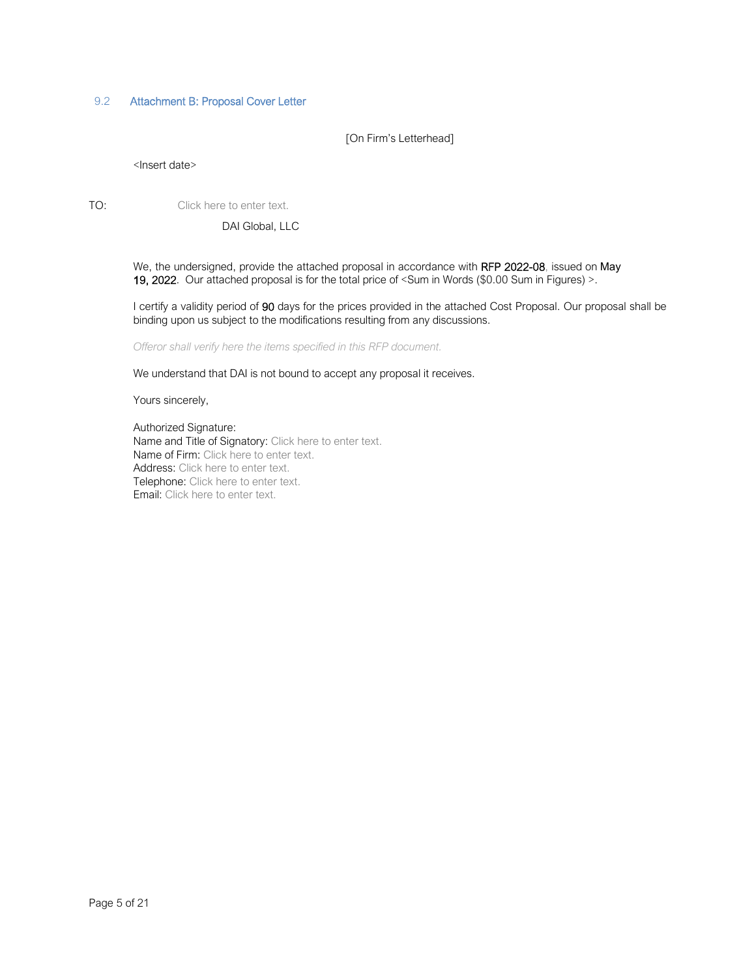### 9.2 Attachment B: Proposal Cover Letter

[On Firm's Letterhead]

<Insert date>

TO: Click here to enter text.

DAI Global, LLC

We, the undersigned, provide the attached proposal in accordance with RFP 2022-08, issued on May 19, 2022. Our attached proposal is for the total price of <Sum in Words (\$0.00 Sum in Figures) >.

I certify a validity period of 90 days for the prices provided in the attached Cost Proposal. Our proposal shall be binding upon us subject to the modifications resulting from any discussions.

*Offeror shall verify here the items specified in this RFP document.* 

We understand that DAI is not bound to accept any proposal it receives.

Yours sincerely,

Authorized Signature: Name and Title of Signatory: Click here to enter text. Name of Firm: Click here to enter text. Address: Click here to enter text. Telephone: Click here to enter text. Email: Click here to enter text.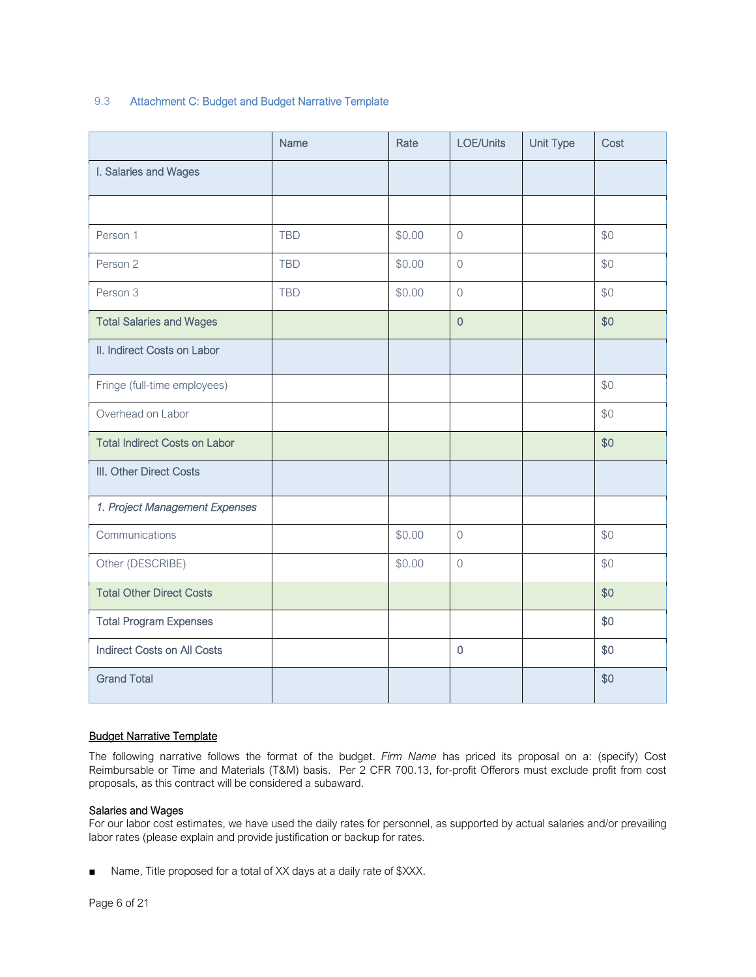### 9.3 Attachment C: Budget and Budget Narrative Template

|                                      | Name       | Rate   | LOE/Units      | <b>Unit Type</b> | Cost |
|--------------------------------------|------------|--------|----------------|------------------|------|
| I. Salaries and Wages                |            |        |                |                  |      |
|                                      |            |        |                |                  |      |
| Person 1                             | <b>TBD</b> | \$0.00 | $\overline{0}$ |                  | \$0  |
| Person 2                             | <b>TBD</b> | \$0.00 | $\Omega$       |                  | \$0  |
| Person 3                             | <b>TBD</b> | \$0.00 | $\overline{0}$ |                  | \$0  |
| <b>Total Salaries and Wages</b>      |            |        | $\overline{0}$ |                  | \$0  |
| II. Indirect Costs on Labor          |            |        |                |                  |      |
| Fringe (full-time employees)         |            |        |                |                  | \$0  |
| Overhead on Labor                    |            |        |                |                  | \$0  |
| <b>Total Indirect Costs on Labor</b> |            |        |                |                  | \$0  |
| III. Other Direct Costs              |            |        |                |                  |      |
| 1. Project Management Expenses       |            |        |                |                  |      |
| Communications                       |            | \$0.00 | $\mathbf 0$    |                  | \$0  |
| Other (DESCRIBE)                     |            | \$0.00 | $\overline{0}$ |                  | \$0  |
| <b>Total Other Direct Costs</b>      |            |        |                |                  | \$0  |
| <b>Total Program Expenses</b>        |            |        |                |                  | \$0  |
| <b>Indirect Costs on All Costs</b>   |            |        | $\mathbf 0$    |                  | \$0  |
| <b>Grand Total</b>                   |            |        |                |                  | \$0  |

### Budget Narrative Template

The following narrative follows the format of the budget. *Firm Name* has priced its proposal on a: (specify) Cost Reimbursable or Time and Materials (T&M) basis. Per 2 CFR 700.13, for-profit Offerors must exclude profit from cost proposals, as this contract will be considered a subaward.

#### Salaries and Wages

For our labor cost estimates, we have used the daily rates for personnel, as supported by actual salaries and/or prevailing labor rates (please explain and provide justification or backup for rates.

■ Name, Title proposed for a total of XX days at a daily rate of \$XXX.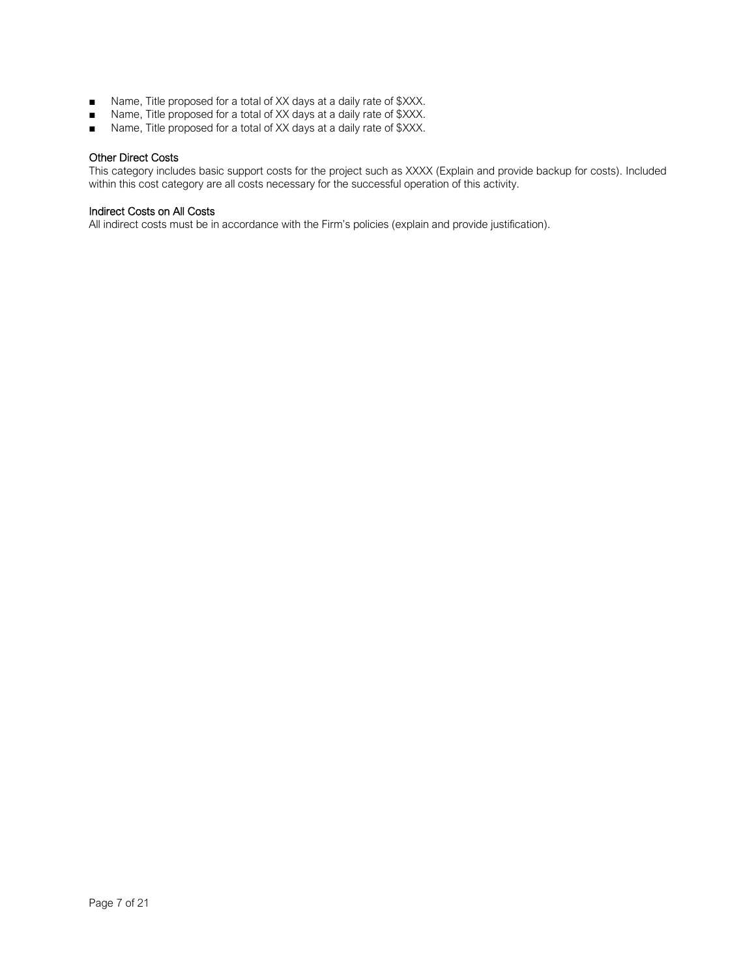- Name, Title proposed for a total of XX days at a daily rate of \$XXX.
- Name, Title proposed for a total of XX days at a daily rate of \$XXX.
- Name, Title proposed for a total of XX days at a daily rate of \$XXX.

#### Other Direct Costs

This category includes basic support costs for the project such as XXXX (Explain and provide backup for costs). Included within this cost category are all costs necessary for the successful operation of this activity.

### Indirect Costs on All Costs

All indirect costs must be in accordance with the Firm's policies (explain and provide justification).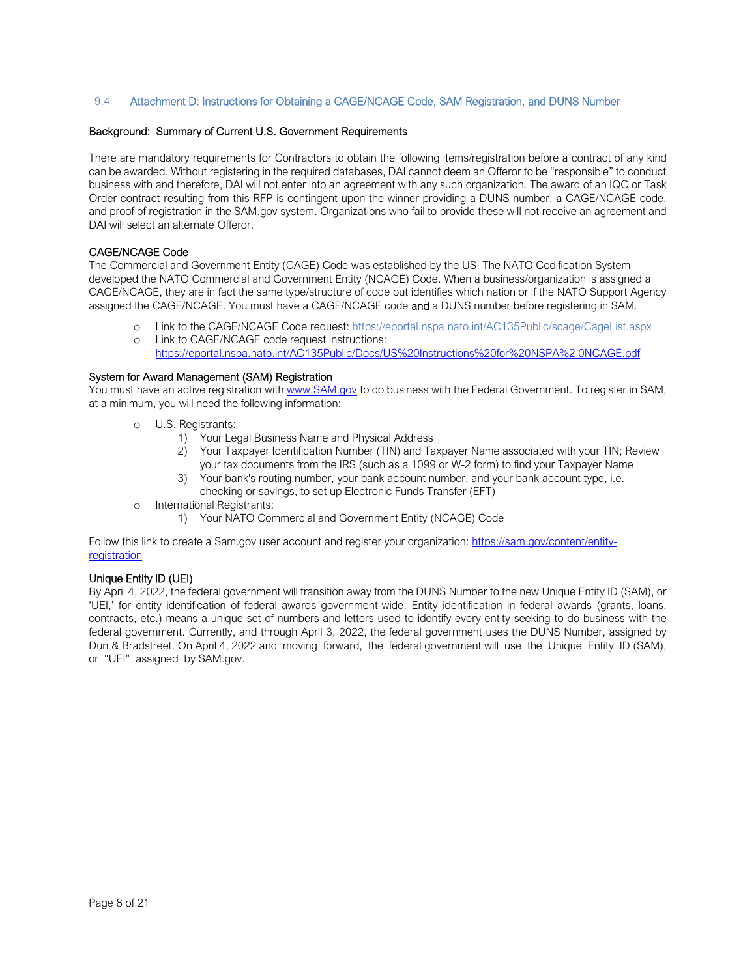#### 9.4 Attachment D: Instructions for Obtaining a CAGE/NCAGE Code, SAM Registration, and DUNS Number

#### Background: Summary of Current U.S. Government Requirements

There are mandatory requirements for Contractors to obtain the following items/registration before a contract of any kind can be awarded. Without registering in the required databases, DAI cannot deem an Offeror to be "responsible" to conduct business with and therefore, DAI will not enter into an agreement with any such organization. The award of an IQC or Task Order contract resulting from this RFP is contingent upon the winner providing a DUNS number, a CAGE/NCAGE code, and proof of registration in the SAM.gov system. Organizations who fail to provide these will not receive an agreement and DAI will select an alternate Offeror.

#### CAGE/NCAGE Code

The Commercial and Government Entity (CAGE) Code was established by the US. The NATO Codification System developed the NATO Commercial and Government Entity (NCAGE) Code. When a business/organization is assigned a CAGE/NCAGE, they are in fact the same type/structure of code but identifies which nation or if the NATO Support Agency assigned the CAGE/NCAGE. You must have a CAGE/NCAGE code and a DUNS number before registering in SAM.

- o Link to the CAGE/NCAGE Code request: https://eportal.nspa.nato.int/AC135Public/scage/CageList.aspx
- o Link to CAGE/NCAGE code request instructions:
	- https://eportal.nspa.nato.int/AC135Public/Docs/US%20Instructions%20for%20NSPA%2 0NCAGE.pdf

#### System for Award Management (SAM) Registration

You must have an active registration with www.SAM.gov to do business with the Federal Government. To register in SAM, at a minimum, you will need the following information:

- o U.S. Registrants:
	- 1) Your Legal Business Name and Physical Address
	- 2) Your Taxpayer Identification Number (TIN) and Taxpayer Name associated with your TIN; Review your tax documents from the IRS (such as a 1099 or W-2 form) to find your Taxpayer Name
	- 3) Your bank's routing number, your bank account number, and your bank account type, i.e. checking or savings, to set up Electronic Funds Transfer (EFT)
- o International Registrants:
	- 1) Your NATO Commercial and Government Entity (NCAGE) Code

Follow this link to create a Sam.gov user account and register your organization: https://sam.gov/content/entityregistration

#### Unique Entity ID (UEI)

By April 4, 2022, the federal government will transition away from the DUNS Number to the new Unique Entity ID (SAM), or 'UEI,' for entity identification of federal awards government-wide. Entity identification in federal awards (grants, loans, contracts, etc.) means a unique set of numbers and letters used to identify every entity seeking to do business with the federal government. Currently, and through April 3, 2022, the federal government uses the DUNS Number, assigned by Dun & Bradstreet. On April 4, 2022 and moving forward, the federal government will use the Unique Entity ID (SAM), or "UEI" assigned by SAM.gov.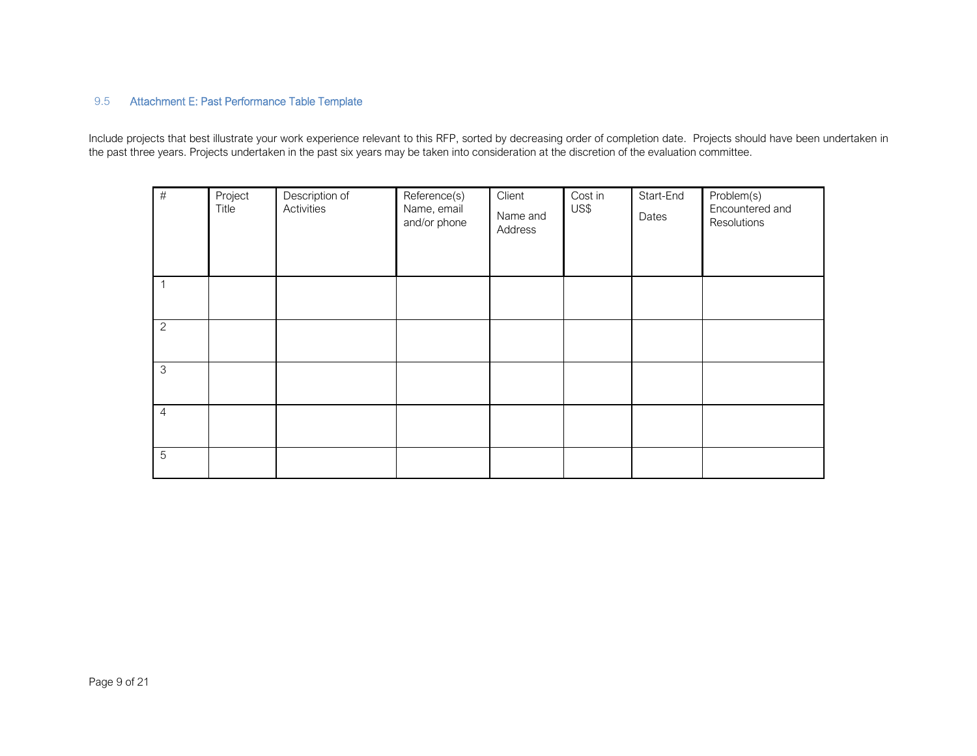# 9.5

9.5 Attachment E: Past Performance Table Template<br>Include projects that best illustrate your work experience relevant to this RFP, sorted by decreasing order of completion date. Projects should have been undertaken in<br>the

| $\#$           | Project<br>Title | Description of<br>Activities | Reference(s)<br>Name, email<br>and/or phone | Client<br>Name and<br>Address | Cost in<br>US\$ | Start-End<br>Dates | Problem(s)<br>Encountered and<br>Resolutions |
|----------------|------------------|------------------------------|---------------------------------------------|-------------------------------|-----------------|--------------------|----------------------------------------------|
| 1              |                  |                              |                                             |                               |                 |                    |                                              |
| $\overline{c}$ |                  |                              |                                             |                               |                 |                    |                                              |
| $\mathfrak 3$  |                  |                              |                                             |                               |                 |                    |                                              |
| $\overline{4}$ |                  |                              |                                             |                               |                 |                    |                                              |
| $\overline{5}$ |                  |                              |                                             |                               |                 |                    |                                              |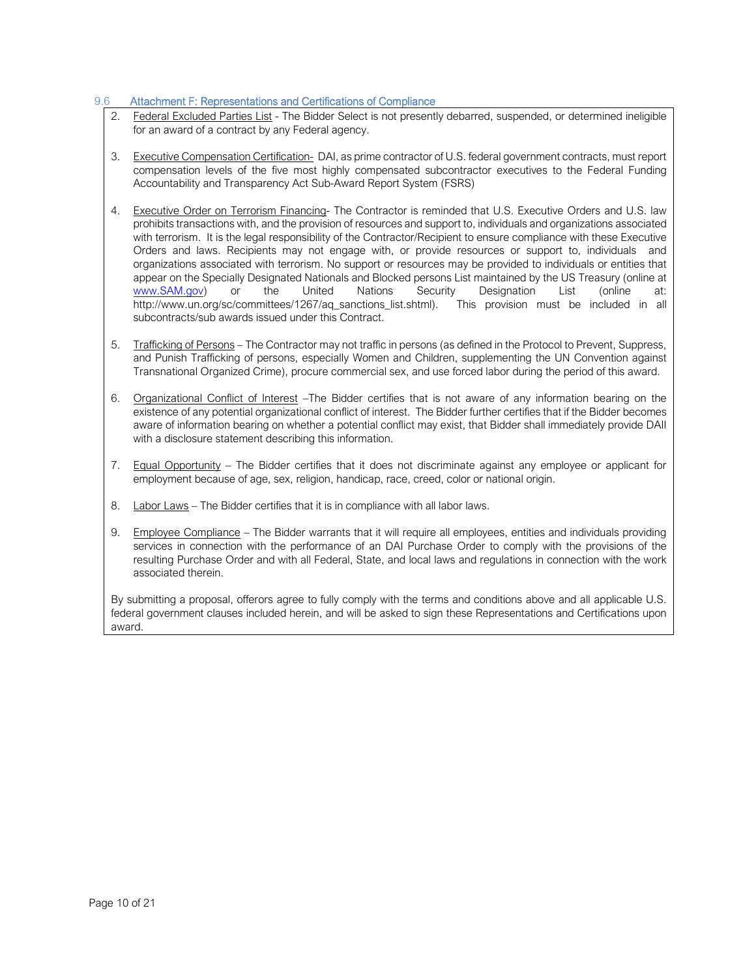### 9.6 Attachment F: Representations and Certifications of Compliance

- 2. Federal Excluded Parties List The Bidder Select is not presently debarred, suspended, or determined ineligible for an award of a contract by any Federal agency.
- 3. Executive Compensation Certification- DAI, as prime contractor of U.S. federal government contracts, must report compensation levels of the five most highly compensated subcontractor executives to the Federal Funding Accountability and Transparency Act Sub-Award Report System (FSRS)
- 4. Executive Order on Terrorism Financing- The Contractor is reminded that U.S. Executive Orders and U.S. law prohibits transactions with, and the provision of resources and support to, individuals and organizations associated with terrorism. It is the legal responsibility of the Contractor/Recipient to ensure compliance with these Executive Orders and laws. Recipients may not engage with, or provide resources or support to, individuals and organizations associated with terrorism. No support or resources may be provided to individuals or entities that appear on the Specially Designated Nationals and Blocked persons List maintained by the US Treasury (online at www.SAM.gov) or the United Nations Security Designation List (online at: http://www.un.org/sc/committees/1267/aq\_sanctions\_list.shtml). This provision must be included in all subcontracts/sub awards issued under this Contract.
- 5. Trafficking of Persons The Contractor may not traffic in persons (as defined in the Protocol to Prevent, Suppress, and Punish Trafficking of persons, especially Women and Children, supplementing the UN Convention against Transnational Organized Crime), procure commercial sex, and use forced labor during the period of this award.
- 6. Organizational Conflict of Interest –The Bidder certifies that is not aware of any information bearing on the existence of any potential organizational conflict of interest. The Bidder further certifies that if the Bidder becomes aware of information bearing on whether a potential conflict may exist, that Bidder shall immediately provide DAII with a disclosure statement describing this information.
- 7. Equal Opportunity The Bidder certifies that it does not discriminate against any employee or applicant for employment because of age, sex, religion, handicap, race, creed, color or national origin.
- 8. Labor Laws The Bidder certifies that it is in compliance with all labor laws.
- 9. Employee Compliance The Bidder warrants that it will require all employees, entities and individuals providing services in connection with the performance of an DAI Purchase Order to comply with the provisions of the resulting Purchase Order and with all Federal, State, and local laws and regulations in connection with the work associated therein.

By submitting a proposal, offerors agree to fully comply with the terms and conditions above and all applicable U.S. federal government clauses included herein, and will be asked to sign these Representations and Certifications upon award.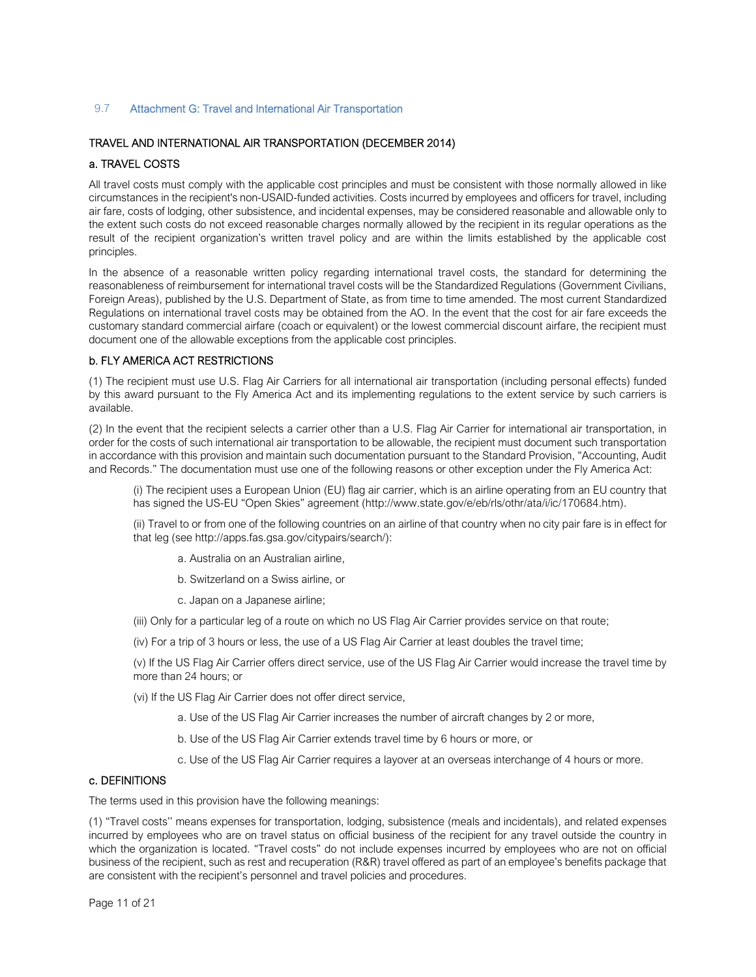#### 9.7 Attachment G: Travel and International Air Transportation

### TRAVEL AND INTERNATIONAL AIR TRANSPORTATION (DECEMBER 2014)

### a. TRAVEL COSTS

All travel costs must comply with the applicable cost principles and must be consistent with those normally allowed in like circumstances in the recipient's non-USAID-funded activities. Costs incurred by employees and officers for travel, including air fare, costs of lodging, other subsistence, and incidental expenses, may be considered reasonable and allowable only to the extent such costs do not exceed reasonable charges normally allowed by the recipient in its regular operations as the result of the recipient organization's written travel policy and are within the limits established by the applicable cost principles.

In the absence of a reasonable written policy regarding international travel costs, the standard for determining the reasonableness of reimbursement for international travel costs will be the Standardized Regulations (Government Civilians, Foreign Areas), published by the U.S. Department of State, as from time to time amended. The most current Standardized Regulations on international travel costs may be obtained from the AO. In the event that the cost for air fare exceeds the customary standard commercial airfare (coach or equivalent) or the lowest commercial discount airfare, the recipient must document one of the allowable exceptions from the applicable cost principles.

#### b. FLY AMERICA ACT RESTRICTIONS

(1) The recipient must use U.S. Flag Air Carriers for all international air transportation (including personal effects) funded by this award pursuant to the Fly America Act and its implementing regulations to the extent service by such carriers is available.

(2) In the event that the recipient selects a carrier other than a U.S. Flag Air Carrier for international air transportation, in order for the costs of such international air transportation to be allowable, the recipient must document such transportation in accordance with this provision and maintain such documentation pursuant to the Standard Provision, "Accounting, Audit and Records." The documentation must use one of the following reasons or other exception under the Fly America Act:

(i) The recipient uses a European Union (EU) flag air carrier, which is an airline operating from an EU country that has signed the US-EU "Open Skies" agreement (http://www.state.gov/e/eb/rls/othr/ata/i/ic/170684.htm).

(ii) Travel to or from one of the following countries on an airline of that country when no city pair fare is in effect for that leg (see http://apps.fas.gsa.gov/citypairs/search/):

- a. Australia on an Australian airline,
- b. Switzerland on a Swiss airline, or
- c. Japan on a Japanese airline;
- (iii) Only for a particular leg of a route on which no US Flag Air Carrier provides service on that route;
- (iv) For a trip of 3 hours or less, the use of a US Flag Air Carrier at least doubles the travel time;

(v) If the US Flag Air Carrier offers direct service, use of the US Flag Air Carrier would increase the travel time by more than 24 hours; or

- (vi) If the US Flag Air Carrier does not offer direct service,
	- a. Use of the US Flag Air Carrier increases the number of aircraft changes by 2 or more,
	- b. Use of the US Flag Air Carrier extends travel time by 6 hours or more, or
	- c. Use of the US Flag Air Carrier requires a layover at an overseas interchange of 4 hours or more.

## c. DEFINITIONS

The terms used in this provision have the following meanings:

(1) "Travel costs'' means expenses for transportation, lodging, subsistence (meals and incidentals), and related expenses incurred by employees who are on travel status on official business of the recipient for any travel outside the country in which the organization is located. "Travel costs" do not include expenses incurred by employees who are not on official business of the recipient, such as rest and recuperation (R&R) travel offered as part of an employee's benefits package that are consistent with the recipient's personnel and travel policies and procedures.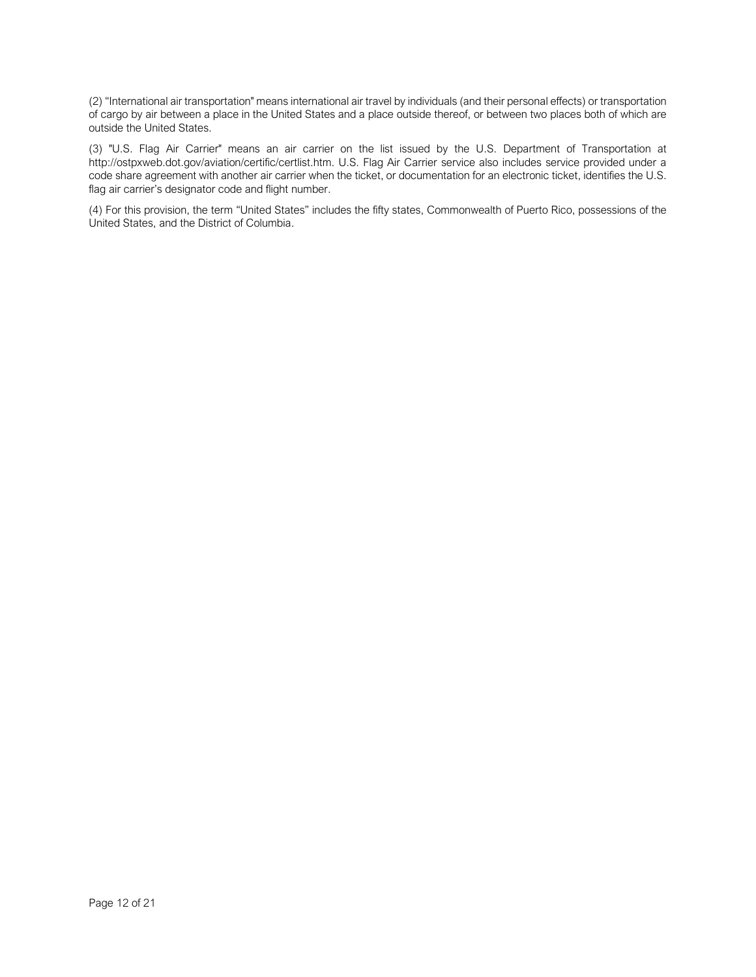(2) "International air transportation" means international air travel by individuals (and their personal effects) or transportation of cargo by air between a place in the United States and a place outside thereof, or between two places both of which are outside the United States.

(3) "U.S. Flag Air Carrier" means an air carrier on the list issued by the U.S. Department of Transportation at http://ostpxweb.dot.gov/aviation/certific/certlist.htm. U.S. Flag Air Carrier service also includes service provided under a code share agreement with another air carrier when the ticket, or documentation for an electronic ticket, identifies the U.S. flag air carrier's designator code and flight number.

(4) For this provision, the term "United States" includes the fifty states, Commonwealth of Puerto Rico, possessions of the United States, and the District of Columbia.